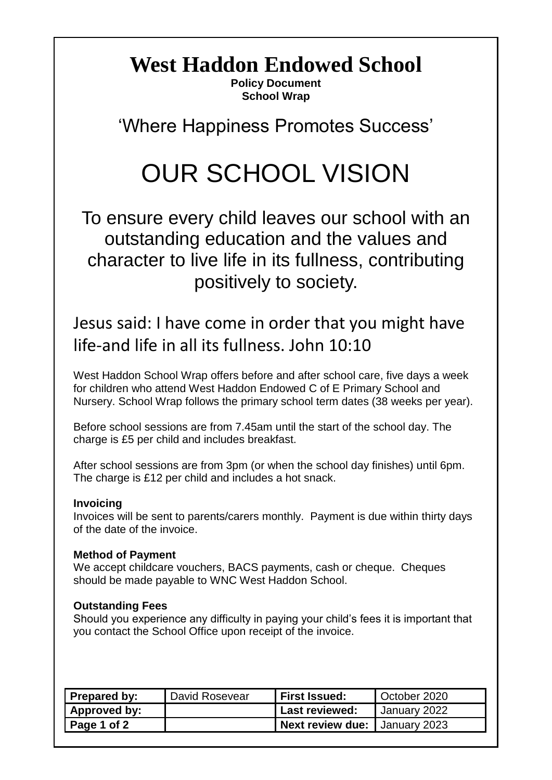# **West Haddon Endowed School**

**Policy Document School Wrap**

'Where Happiness Promotes Success'

# OUR SCHOOL VISION

To ensure every child leaves our school with an outstanding education and the values and character to live life in its fullness, contributing positively to society.

Jesus said: I have come in order that you might have life-and life in all its fullness. John 10:10

West Haddon School Wrap offers before and after school care, five days a week for children who attend West Haddon Endowed C of E Primary School and Nursery. School Wrap follows the primary school term dates (38 weeks per year).

Before school sessions are from 7.45am until the start of the school day. The charge is £5 per child and includes breakfast.

After school sessions are from 3pm (or when the school day finishes) until 6pm. The charge is £12 per child and includes a hot snack.

### **Invoicing**

Invoices will be sent to parents/carers monthly. Payment is due within thirty days of the date of the invoice.

# **Method of Payment**

We accept childcare vouchers, BACS payments, cash or cheque. Cheques should be made payable to WNC West Haddon School.

# **Outstanding Fees**

Should you experience any difficulty in paying your child's fees it is important that you contact the School Office upon receipt of the invoice.

| <b>Prepared by:</b> | David Rosevear | <b>First Issued:</b>                   | October 2020 |
|---------------------|----------------|----------------------------------------|--------------|
| Approved by:        |                | <b>Last reviewed:</b>                  | January 2022 |
| Page 1 of 2         |                | <b>Next review due:   January 2023</b> |              |